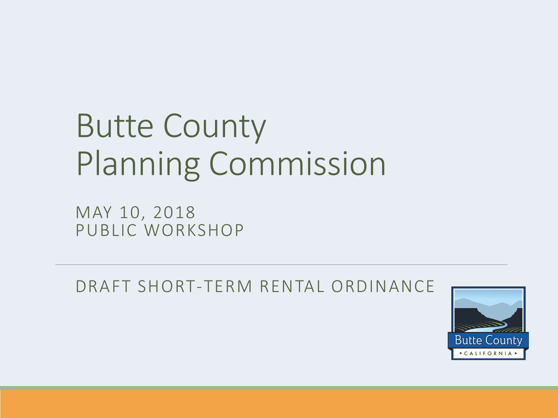#### Butte County Planning Commission

MAY 10, 2018 PUBLIC WORKSHOP

DRAFT SHORT-TERM RENTAL ORDINANCE

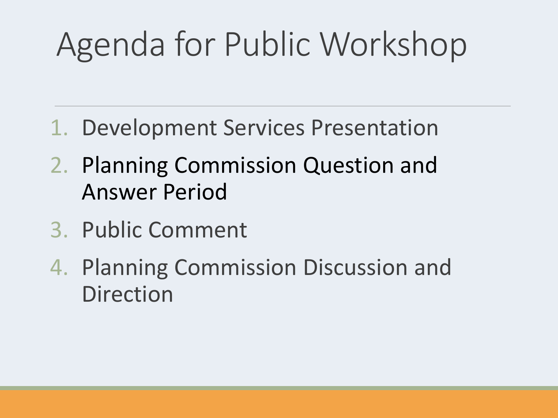### Agenda for Public Workshop

- 1. Development Services Presentation
- 2. Planning Commission Question and Answer Period
- 3. Public Comment
- 4. Planning Commission Discussion and Direction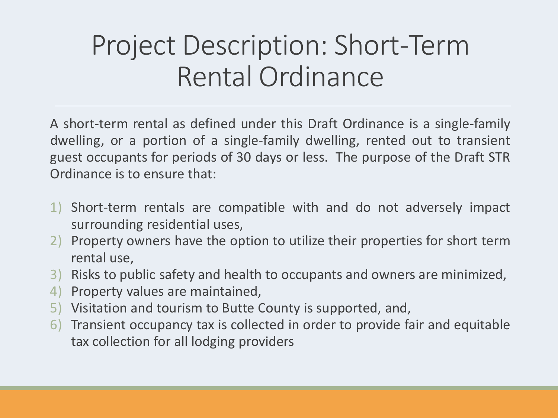A short-term rental as defined under this Draft Ordinance is a single-family dwelling, or a portion of a single-family dwelling, rented out to transient guest occupants for periods of 30 days or less. The purpose of the Draft STR Ordinance is to ensure that:

- 1) Short-term rentals are compatible with and do not adversely impact surrounding residential uses,
- 2) Property owners have the option to utilize their properties for short term rental use,
- 3) Risks to public safety and health to occupants and owners are minimized,
- 4) Property values are maintained,
- 5) Visitation and tourism to Butte County is supported, and,
- 6) Transient occupancy tax is collected in order to provide fair and equitable tax collection for all lodging providers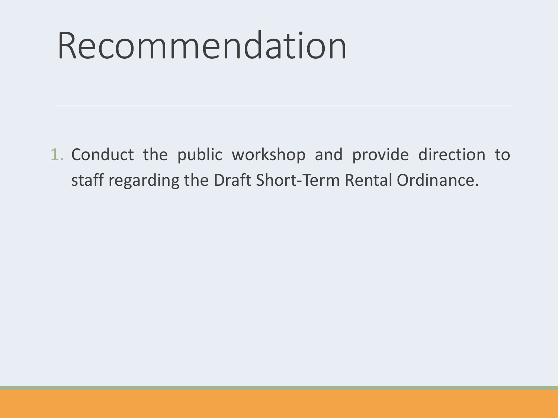## Recommendation

1. Conduct the public workshop and provide direction to staff regarding the Draft Short-Term Rental Ordinance.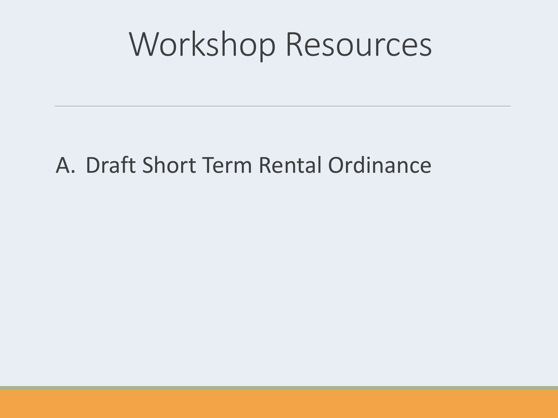#### Workshop Resources

#### A. Draft Short Term Rental Ordinance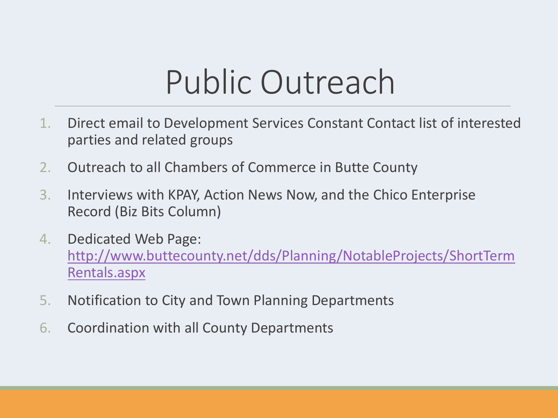#### Public Outreach

- 1. Direct email to Development Services Constant Contact list of interested parties and related groups
- 2. Outreach to all Chambers of Commerce in Butte County
- 3. Interviews with KPAY, Action News Now, and the Chico Enterprise Record (Biz Bits Column)
- 4. Dedicated Web Page: [http://www.buttecounty.net/dds/Planning/NotableProjects/ShortTerm](http://www.buttecounty.net/dds/Planning/NotableProjects/ShortTermRentals.aspx) Rentals.aspx
- 5. Notification to City and Town Planning Departments
- 6. Coordination with all County Departments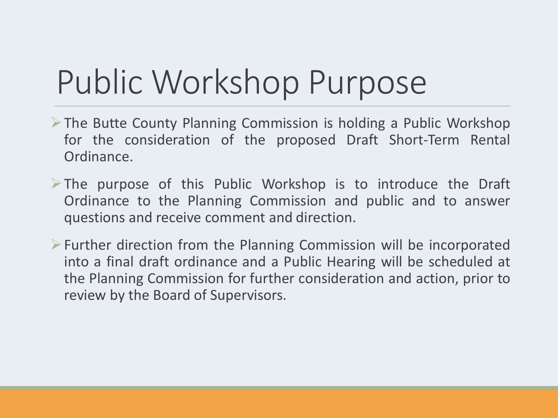### Public Workshop Purpose

- The Butte County Planning Commission is holding a Public Workshop for the consideration of the proposed Draft Short-Term Rental Ordinance.
- $\triangleright$  The purpose of this Public Workshop is to introduce the Draft Ordinance to the Planning Commission and public and to answer questions and receive comment and direction.
- $\triangleright$  Further direction from the Planning Commission will be incorporated into a final draft ordinance and a Public Hearing will be scheduled at the Planning Commission for further consideration and action, prior to review by the Board of Supervisors.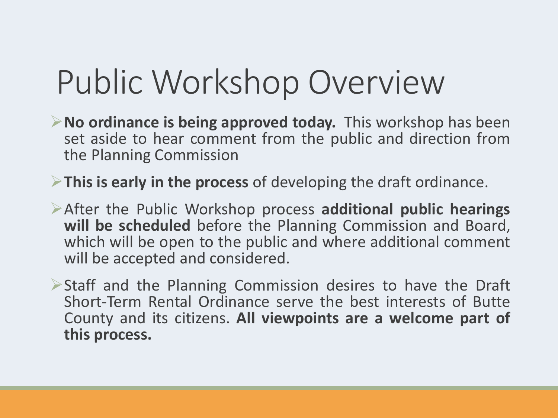### Public Workshop Overview

- **No ordinance is being approved today.** This workshop has been set aside to hear comment from the public and direction from the Planning Commission
- **This is early in the process** of developing the draft ordinance.
- After the Public Workshop process **additional public hearings will be scheduled** before the Planning Commission and Board, which will be open to the public and where additional comment will be accepted and considered.
- Staff and the Planning Commission desires to have the Draft Short-Term Rental Ordinance serve the best interests of Butte County and its citizens. **All viewpoints are a welcome part of this process.**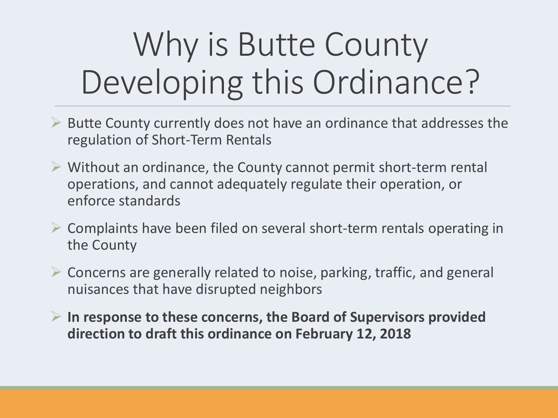### Why is Butte County Developing this Ordinance?

- $\triangleright$  Butte County currently does not have an ordinance that addresses the regulation of Short-Term Rentals
- $\triangleright$  Without an ordinance, the County cannot permit short-term rental operations, and cannot adequately regulate their operation, or enforce standards
- Complaints have been filed on several short-term rentals operating in the County
- $\triangleright$  Concerns are generally related to noise, parking, traffic, and general nuisances that have disrupted neighbors
- **In response to these concerns, the Board of Supervisors provided direction to draft this ordinance on February 12, 2018**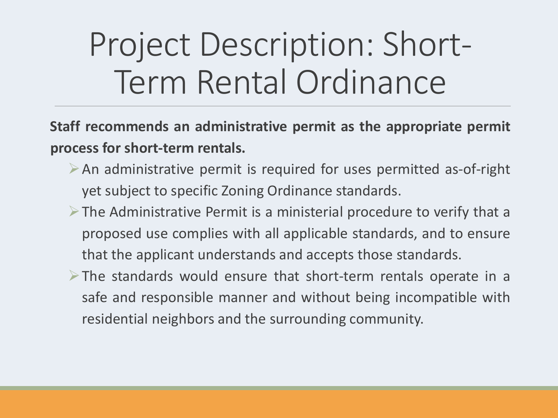**Staff recommends an administrative permit as the appropriate permit process for short-term rentals.**

- $\triangleright$  An administrative permit is required for uses permitted as-of-right yet subject to specific Zoning Ordinance standards.
- $\triangleright$  The Administrative Permit is a ministerial procedure to verify that a proposed use complies with all applicable standards, and to ensure that the applicant understands and accepts those standards.
- $\triangleright$  The standards would ensure that short-term rentals operate in a safe and responsible manner and without being incompatible with residential neighbors and the surrounding community.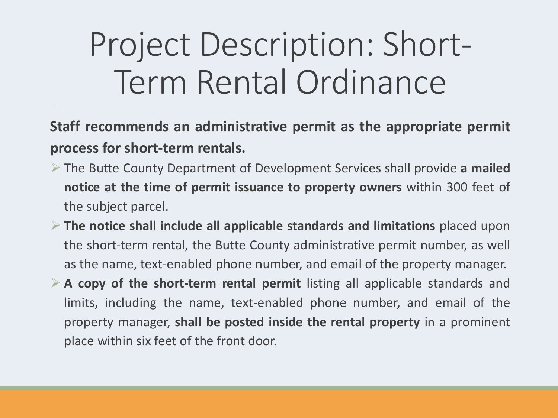**Staff recommends an administrative permit as the appropriate permit process for short-term rentals.**

- The Butte County Department of Development Services shall provide **a mailed notice at the time of permit issuance to property owners** within 300 feet of the subject parcel.
- **The notice shall include all applicable standards and limitations** placed upon the short-term rental, the Butte County administrative permit number, as well as the name, text-enabled phone number, and email of the property manager.
- **A copy of the short-term rental permit** listing all applicable standards and limits, including the name, text-enabled phone number, and email of the property manager, **shall be posted inside the rental property** in a prominent place within six feet of the front door.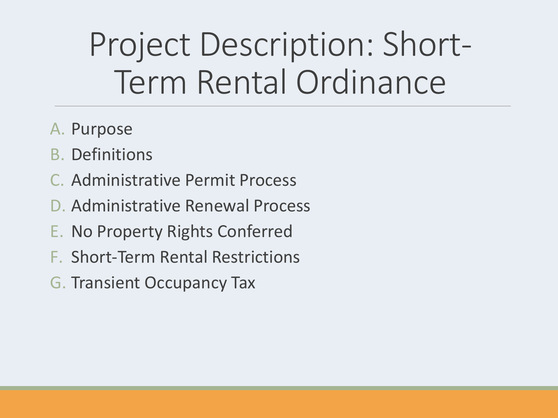- A. Purpose
- B. Definitions
- C. Administrative Permit Process
- D. Administrative Renewal Process
- E. No Property Rights Conferred
- F. Short-Term Rental Restrictions
- G. Transient Occupancy Tax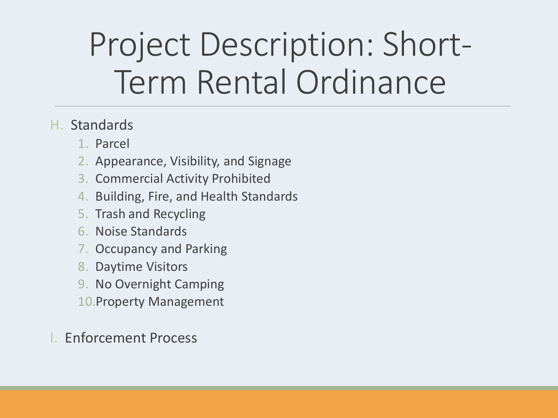#### H. Standards

- 1. Parcel
- 2. Appearance, Visibility, and Signage
- 3. Commercial Activity Prohibited
- 4. Building, Fire, and Health Standards
- 5. Trash and Recycling
- 6. Noise Standards
- 7. Occupancy and Parking
- 8. Daytime Visitors
- 9. No Overnight Camping
- 10.Property Management
- I. Enforcement Process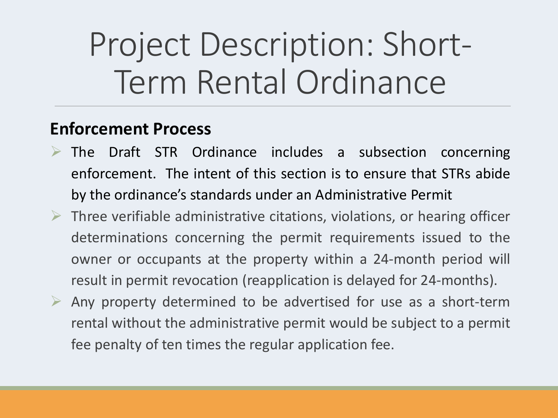#### **Enforcement Process**

- $\triangleright$  The Draft STR Ordinance includes a subsection concerning enforcement. The intent of this section is to ensure that STRs abide by the ordinance's standards under an Administrative Permit
- $\triangleright$  Three verifiable administrative citations, violations, or hearing officer determinations concerning the permit requirements issued to the owner or occupants at the property within a 24-month period will result in permit revocation (reapplication is delayed for 24-months).
- $\triangleright$  Any property determined to be advertised for use as a short-term rental without the administrative permit would be subject to a permit fee penalty of ten times the regular application fee.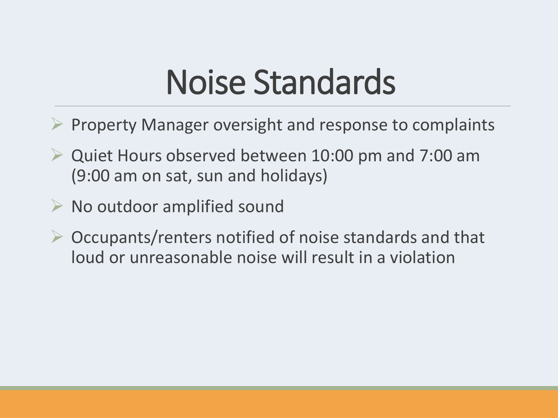#### Noise Standards

- Property Manager oversight and response to complaints
- $\triangleright$  Quiet Hours observed between 10:00 pm and 7:00 am (9:00 am on sat, sun and holidays)
- $\triangleright$  No outdoor amplified sound
- $\triangleright$  Occupants/renters notified of noise standards and that loud or unreasonable noise will result in a violation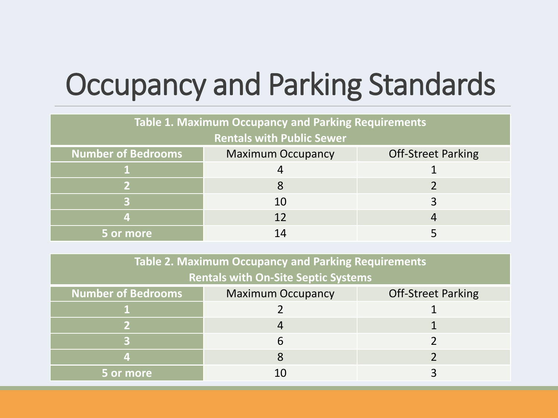#### Occupancy and Parking Standards

| <b>Table 1. Maximum Occupancy and Parking Requirements</b> |                          |                           |  |
|------------------------------------------------------------|--------------------------|---------------------------|--|
| <b>Rentals with Public Sewer</b>                           |                          |                           |  |
| <b>Number of Bedrooms</b>                                  | <b>Maximum Occupancy</b> | <b>Off-Street Parking</b> |  |
|                                                            |                          |                           |  |
|                                                            |                          |                           |  |
|                                                            | 10                       |                           |  |
|                                                            | 12                       |                           |  |
| 5 or more                                                  | 14                       |                           |  |

| Table 2. Maximum Occupancy and Parking Requirements |                          |                           |  |
|-----------------------------------------------------|--------------------------|---------------------------|--|
| <b>Rentals with On-Site Septic Systems</b>          |                          |                           |  |
| <b>Number of Bedrooms</b>                           | <b>Maximum Occupancy</b> | <b>Off-Street Parking</b> |  |
|                                                     |                          |                           |  |
|                                                     |                          |                           |  |
|                                                     |                          |                           |  |
|                                                     |                          |                           |  |
| 5 or more                                           |                          |                           |  |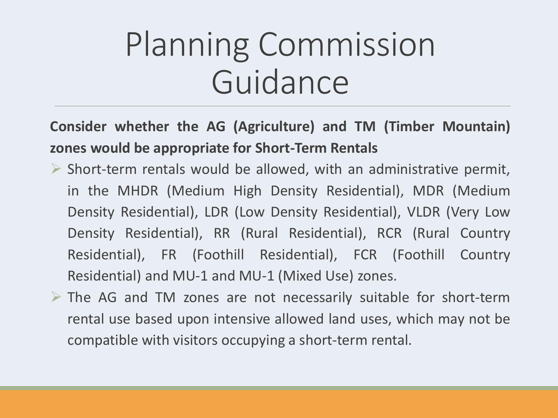#### **Consider whether the AG (Agriculture) and TM (Timber Mountain) zones would be appropriate for Short-Term Rentals**

- $\triangleright$  Short-term rentals would be allowed, with an administrative permit, in the MHDR (Medium High Density Residential), MDR (Medium Density Residential), LDR (Low Density Residential), VLDR (Very Low Density Residential), RR (Rural Residential), RCR (Rural Country Residential), FR (Foothill Residential), FCR (Foothill Country Residential) and MU-1 and MU-1 (Mixed Use) zones.
- $\triangleright$  The AG and TM zones are not necessarily suitable for short-term rental use based upon intensive allowed land uses, which may not be compatible with visitors occupying a short-term rental.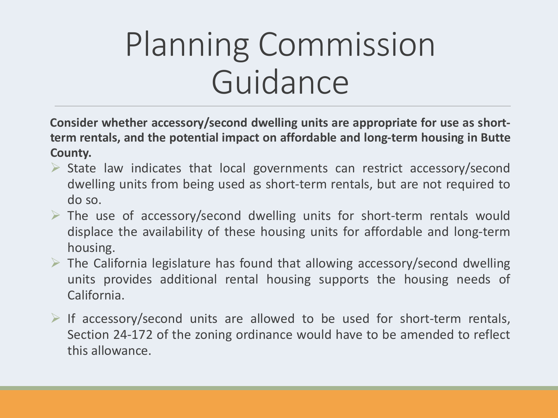**Consider whether accessory/second dwelling units are appropriate for use as shortterm rentals, and the potential impact on affordable and long-term housing in Butte County.**

- $\triangleright$  State law indicates that local governments can restrict accessory/second dwelling units from being used as short-term rentals, but are not required to do so.
- $\triangleright$  The use of accessory/second dwelling units for short-term rentals would displace the availability of these housing units for affordable and long-term housing.
- $\triangleright$  The California legislature has found that allowing accessory/second dwelling units provides additional rental housing supports the housing needs of California.
- $\triangleright$  If accessory/second units are allowed to be used for short-term rentals, Section 24-172 of the zoning ordinance would have to be amended to reflect this allowance.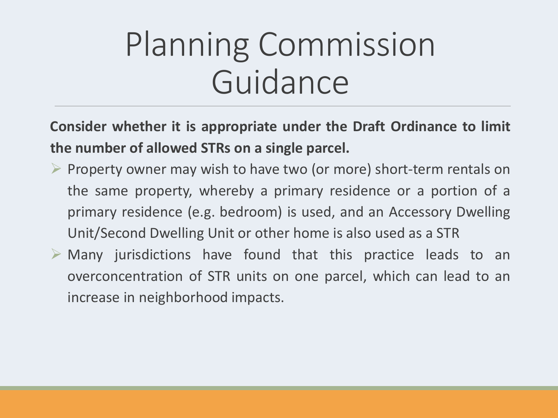**Consider whether it is appropriate under the Draft Ordinance to limit the number of allowed STRs on a single parcel.**

- $\triangleright$  Property owner may wish to have two (or more) short-term rentals on the same property, whereby a primary residence or a portion of a primary residence (e.g. bedroom) is used, and an Accessory Dwelling Unit/Second Dwelling Unit or other home is also used as a STR
- $\triangleright$  Many jurisdictions have found that this practice leads to an overconcentration of STR units on one parcel, which can lead to an increase in neighborhood impacts.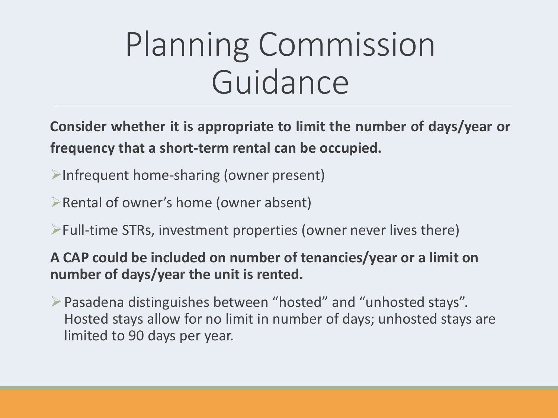**Consider whether it is appropriate to limit the number of days/year or frequency that a short-term rental can be occupied.**

- $\triangleright$ Infrequent home-sharing (owner present)
- $\triangleright$  Rental of owner's home (owner absent)
- $\triangleright$  Full-time STRs, investment properties (owner never lives there)

**A CAP could be included on number of tenancies/year or a limit on number of days/year the unit is rented.**

Pasadena distinguishes between "hosted" and "unhosted stays". Hosted stays allow for no limit in number of days; unhosted stays are limited to 90 days per year.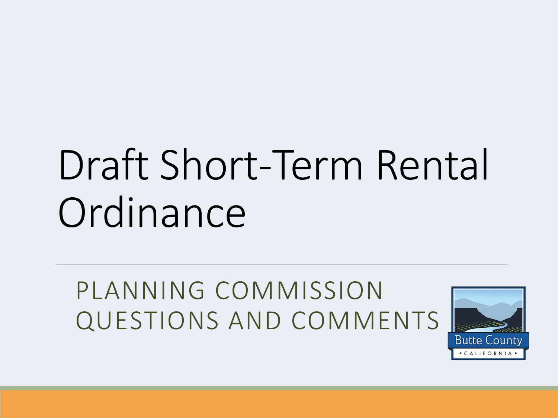## Draft Short-Term Rental **Ordinance**

PLANNING COMMISSION QUESTIONS AND COMMENTS

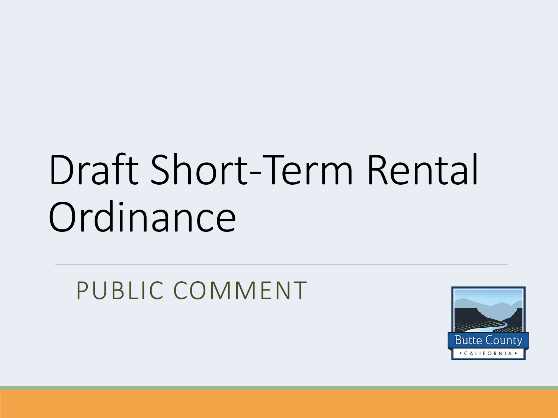# Draft Short-Term Rental **Ordinance**

PUBLIC COMMENT

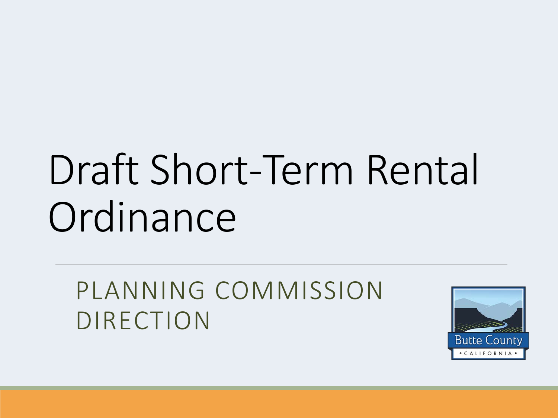# Draft Short-Term Rental **Ordinance**

PLANNING COMMISSION DIRECTION